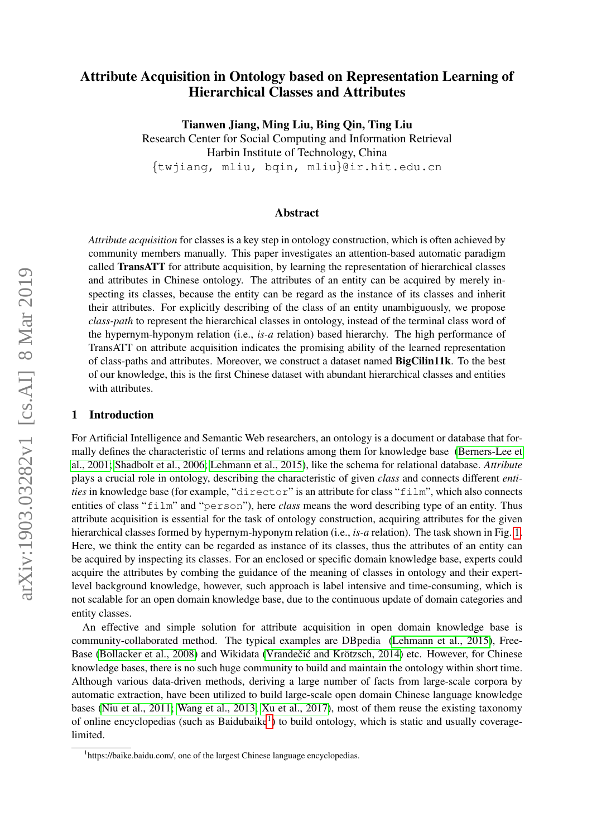# Attribute Acquisition in Ontology based on Representation Learning of Hierarchical Classes and Attributes

Tianwen Jiang, Ming Liu, Bing Qin, Ting Liu

Research Center for Social Computing and Information Retrieval Harbin Institute of Technology, China {twjiang, mliu, bqin, mliu}@ir.hit.edu.cn

## Abstract

*Attribute acquisition* for classes is a key step in ontology construction, which is often achieved by community members manually. This paper investigates an attention-based automatic paradigm called TransATT for attribute acquisition, by learning the representation of hierarchical classes and attributes in Chinese ontology. The attributes of an entity can be acquired by merely inspecting its classes, because the entity can be regard as the instance of its classes and inherit their attributes. For explicitly describing of the class of an entity unambiguously, we propose *class-path* to represent the hierarchical classes in ontology, instead of the terminal class word of the hypernym-hyponym relation (i.e., *is-a* relation) based hierarchy. The high performance of TransATT on attribute acquisition indicates the promising ability of the learned representation of class-paths and attributes. Moreover, we construct a dataset named BigCilin11k. To the best of our knowledge, this is the first Chinese dataset with abundant hierarchical classes and entities with attributes.

#### 1 Introduction

For Artificial Intelligence and Semantic Web researchers, an ontology is a document or database that formally defines the characteristic of terms and relations among them for knowledge base [\(Berners-Lee et](#page-9-0) [al., 2001;](#page-9-0) [Shadbolt et al., 2006;](#page-9-1) [Lehmann et al., 2015\)](#page-9-2), like the schema for relational database. *Attribute* plays a crucial role in ontology, describing the characteristic of given *class* and connects different *entities* in knowledge base (for example, "director" is an attribute for class "film", which also connects entities of class "film" and "person"), here *class* means the word describing type of an entity. Thus attribute acquisition is essential for the task of ontology construction, acquiring attributes for the given hierarchical classes formed by hypernym-hyponym relation (i.e., *is-a* relation). The task shown in Fig. [1.](#page-1-0) Here, we think the entity can be regarded as instance of its classes, thus the attributes of an entity can be acquired by inspecting its classes. For an enclosed or specific domain knowledge base, experts could acquire the attributes by combing the guidance of the meaning of classes in ontology and their expertlevel background knowledge, however, such approach is label intensive and time-consuming, which is not scalable for an open domain knowledge base, due to the continuous update of domain categories and entity classes.

An effective and simple solution for attribute acquisition in open domain knowledge base is community-collaborated method. The typical examples are DBpedia [\(Lehmann et al., 2015\)](#page-9-2), Free-Base [\(Bollacker et al., 2008\)](#page-9-3) and Wikidata (Vrandečić and Krötzsch, 2014) etc. However, for Chinese knowledge bases, there is no such huge community to build and maintain the ontology within short time. Although various data-driven methods, deriving a large number of facts from large-scale corpora by automatic extraction, have been utilized to build large-scale open domain Chinese language knowledge bases [\(Niu et al., 2011;](#page-9-5) [Wang et al., 2013;](#page-9-6) [Xu et al., 2017\)](#page-9-7), most of them reuse the existing taxonomy of online encyclopedias (such as Baidubaike<sup>[1](#page-0-0)</sup>) to build ontology, which is static and usually coveragelimited.

<span id="page-0-0"></span><sup>&</sup>lt;sup>1</sup>https://baike.baidu.com/, one of the largest Chinese language encyclopedias.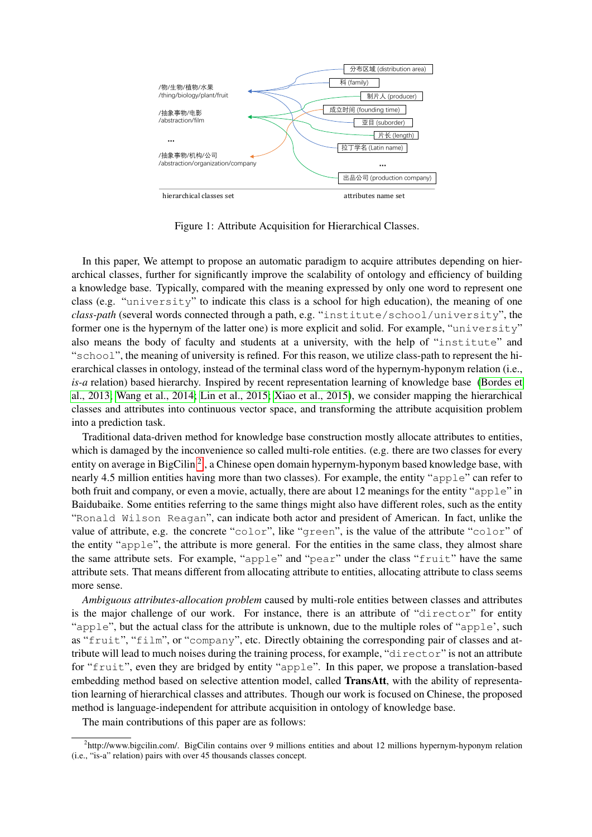

<span id="page-1-0"></span>Figure 1: Attribute Acquisition for Hierarchical Classes.

In this paper, We attempt to propose an automatic paradigm to acquire attributes depending on hierarchical classes, further for significantly improve the scalability of ontology and efficiency of building a knowledge base. Typically, compared with the meaning expressed by only one word to represent one class (e.g. "university" to indicate this class is a school for high education), the meaning of one *class-path* (several words connected through a path, e.g. "institute/school/university", the former one is the hypernym of the latter one) is more explicit and solid. For example, "university" also means the body of faculty and students at a university, with the help of "institute" and "school", the meaning of university is refined. For this reason, we utilize class-path to represent the hierarchical classes in ontology, instead of the terminal class word of the hypernym-hyponym relation (i.e., *is-a* relation) based hierarchy. Inspired by recent representation learning of knowledge base [\(Bordes et](#page-9-8) [al., 2013;](#page-9-8) [Wang et al., 2014;](#page-9-9) [Lin et al., 2015;](#page-9-10) [Xiao et al., 2015\)](#page-9-11), we consider mapping the hierarchical classes and attributes into continuous vector space, and transforming the attribute acquisition problem into a prediction task.

Traditional data-driven method for knowledge base construction mostly allocate attributes to entities, which is damaged by the inconvenience so called multi-role entities. (e.g. there are two classes for every entity on average in BigCilin<sup>[2](#page-1-1)</sup>, a Chinese open domain hypernym-hyponym based knowledge base, with nearly 4.5 million entities having more than two classes). For example, the entity "apple" can refer to both fruit and company, or even a movie, actually, there are about 12 meanings for the entity "apple" in Baidubaike. Some entities referring to the same things might also have different roles, such as the entity "Ronald Wilson Reagan", can indicate both actor and president of American. In fact, unlike the value of attribute, e.g. the concrete "color", like "green", is the value of the attribute "color" of the entity "apple", the attribute is more general. For the entities in the same class, they almost share the same attribute sets. For example, "apple" and "pear" under the class "fruit" have the same attribute sets. That means different from allocating attribute to entities, allocating attribute to class seems more sense.

*Ambiguous attributes-allocation problem* caused by multi-role entities between classes and attributes is the major challenge of our work. For instance, there is an attribute of "director" for entity "apple", but the actual class for the attribute is unknown, due to the multiple roles of "apple', such as "fruit", "film", or "company", etc. Directly obtaining the corresponding pair of classes and attribute will lead to much noises during the training process, for example, "director" is not an attribute for "fruit", even they are bridged by entity "apple". In this paper, we propose a translation-based embedding method based on selective attention model, called TransAtt, with the ability of representation learning of hierarchical classes and attributes. Though our work is focused on Chinese, the proposed method is language-independent for attribute acquisition in ontology of knowledge base.

The main contributions of this paper are as follows:

<span id="page-1-1"></span><sup>2</sup> http://www.bigcilin.com/. BigCilin contains over 9 millions entities and about 12 millions hypernym-hyponym relation (i.e., "is-a" relation) pairs with over 45 thousands classes concept.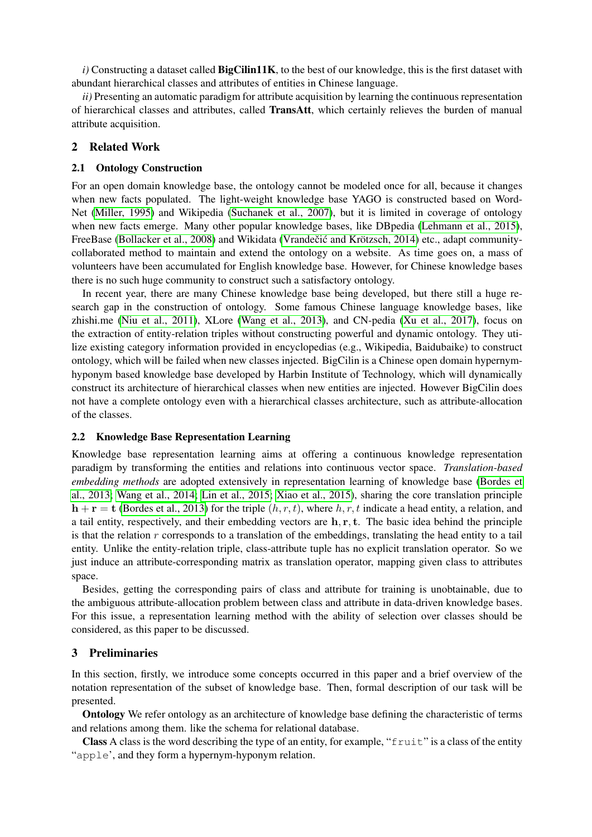*i*) Constructing a dataset called **BigCilin11K**, to the best of our knowledge, this is the first dataset with abundant hierarchical classes and attributes of entities in Chinese language.

*ii*) Presenting an automatic paradigm for attribute acquisition by learning the continuous representation of hierarchical classes and attributes, called TransAtt, which certainly relieves the burden of manual attribute acquisition.

## 2 Related Work

#### 2.1 Ontology Construction

For an open domain knowledge base, the ontology cannot be modeled once for all, because it changes when new facts populated. The light-weight knowledge base YAGO is constructed based on Word-Net [\(Miller, 1995\)](#page-9-12) and Wikipedia [\(Suchanek et al., 2007\)](#page-9-13), but it is limited in coverage of ontology when new facts emerge. Many other popular knowledge bases, like DBpedia [\(Lehmann et al., 2015\)](#page-9-2), FreeBase [\(Bollacker et al., 2008\)](#page-9-3) and Wikidata (Vrandečić and Krötzsch, 2014) etc., adapt communitycollaborated method to maintain and extend the ontology on a website. As time goes on, a mass of volunteers have been accumulated for English knowledge base. However, for Chinese knowledge bases there is no such huge community to construct such a satisfactory ontology.

In recent year, there are many Chinese knowledge base being developed, but there still a huge research gap in the construction of ontology. Some famous Chinese language knowledge bases, like zhishi.me [\(Niu et al., 2011\)](#page-9-5), XLore [\(Wang et al., 2013\)](#page-9-6), and CN-pedia [\(Xu et al., 2017\)](#page-9-7), focus on the extraction of entity-relation triples without constructing powerful and dynamic ontology. They utilize existing category information provided in encyclopedias (e.g., Wikipedia, Baidubaike) to construct ontology, which will be failed when new classes injected. BigCilin is a Chinese open domain hypernymhyponym based knowledge base developed by Harbin Institute of Technology, which will dynamically construct its architecture of hierarchical classes when new entities are injected. However BigCilin does not have a complete ontology even with a hierarchical classes architecture, such as attribute-allocation of the classes.

### 2.2 Knowledge Base Representation Learning

Knowledge base representation learning aims at offering a continuous knowledge representation paradigm by transforming the entities and relations into continuous vector space. *Translation-based embedding methods* are adopted extensively in representation learning of knowledge base [\(Bordes et](#page-9-8) [al., 2013;](#page-9-8) [Wang et al., 2014;](#page-9-9) [Lin et al., 2015;](#page-9-10) [Xiao et al., 2015\)](#page-9-11), sharing the core translation principle  $h + r = t$  [\(Bordes et al., 2013\)](#page-9-8) for the triple  $(h, r, t)$ , where h, r, t indicate a head entity, a relation, and a tail entity, respectively, and their embedding vectors are  $h, r, t$ . The basic idea behind the principle is that the relation  $r$  corresponds to a translation of the embeddings, translating the head entity to a tail entity. Unlike the entity-relation triple, class-attribute tuple has no explicit translation operator. So we just induce an attribute-corresponding matrix as translation operator, mapping given class to attributes space.

Besides, getting the corresponding pairs of class and attribute for training is unobtainable, due to the ambiguous attribute-allocation problem between class and attribute in data-driven knowledge bases. For this issue, a representation learning method with the ability of selection over classes should be considered, as this paper to be discussed.

### 3 Preliminaries

In this section, firstly, we introduce some concepts occurred in this paper and a brief overview of the notation representation of the subset of knowledge base. Then, formal description of our task will be presented.

Ontology We refer ontology as an architecture of knowledge base defining the characteristic of terms and relations among them. like the schema for relational database.

**Class** A class is the word describing the type of an entity, for example, " $f$ ruit" is a class of the entity "apple', and they form a hypernym-hyponym relation.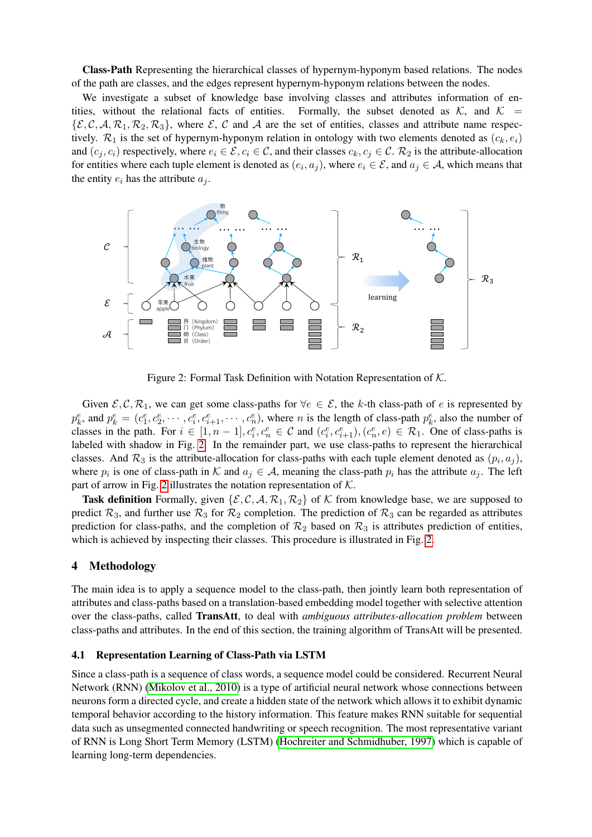Class-Path Representing the hierarchical classes of hypernym-hyponym based relations. The nodes of the path are classes, and the edges represent hypernym-hyponym relations between the nodes.

We investigate a subset of knowledge base involving classes and attributes information of entities, without the relational facts of entities. Formally, the subset denoted as  $K$ , and  $K =$  $\{\mathcal{E}, \mathcal{C}, \mathcal{A}, \mathcal{R}_1, \mathcal{R}_2, \mathcal{R}_3\}$ , where  $\mathcal{E}, \mathcal{C}$  and  $\mathcal{A}$  are the set of entities, classes and attribute name respectively.  $\mathcal{R}_1$  is the set of hypernym-hyponym relation in ontology with two elements denoted as  $(c_k, e_i)$ and  $(c_i, c_i)$  respectively, where  $e_i \in \mathcal{E}, c_i \in \mathcal{C}$ , and their classes  $c_k, c_j \in \mathcal{C}$ .  $\mathcal{R}_2$  is the attribute-allocation for entities where each tuple element is denoted as  $(e_i, a_j)$ , where  $e_i \in \mathcal{E}$ , and  $a_j \in \mathcal{A}$ , which means that the entity  $e_i$  has the attribute  $a_i$ .



<span id="page-3-0"></span>Figure 2: Formal Task Definition with Notation Representation of K.

Given  $\mathcal{E}, \mathcal{C}, \mathcal{R}_1$ , we can get some class-paths for  $\forall e \in \mathcal{E}$ , the k-th class-path of e is represented by  $p_k^e$ , and  $p_k^e = (c_1^e, c_2^e, \dots, c_i^e, c_{i+1}^e, \dots, c_n^e)$ , where *n* is the length of class-path  $p_k^e$ , also the number of classes in the path. For  $i \in [1, n-1], c_i^e, c_n^e \in \mathcal{C}$  and  $(c_i^e, c_{i+1}^e), (c_n^e, e) \in \mathcal{R}_1$ . One of class-paths is labeled with shadow in Fig. [2.](#page-3-0) In the remainder part, we use class-paths to represent the hierarchical classes. And  $\mathcal{R}_3$  is the attribute-allocation for class-paths with each tuple element denoted as  $(p_i, a_j)$ , where  $p_i$  is one of class-path in K and  $a_j \in A$ , meaning the class-path  $p_i$  has the attribute  $a_j$ . The left part of arrow in Fig. [2](#page-3-0) illustrates the notation representation of  $K$ .

**Task definition** Formally, given  $\{\mathcal{E}, \mathcal{C}, \mathcal{A}, \mathcal{R}_1, \mathcal{R}_2\}$  of K from knowledge base, we are supposed to predict  $\mathcal{R}_3$ , and further use  $\mathcal{R}_3$  for  $\mathcal{R}_2$  completion. The prediction of  $\mathcal{R}_3$  can be regarded as attributes prediction for class-paths, and the completion of  $\mathcal{R}_2$  based on  $\mathcal{R}_3$  is attributes prediction of entities, which is achieved by inspecting their classes. This procedure is illustrated in Fig. [2.](#page-3-0)

### 4 Methodology

The main idea is to apply a sequence model to the class-path, then jointly learn both representation of attributes and class-paths based on a translation-based embedding model together with selective attention over the class-paths, called TransAtt, to deal with *ambiguous attributes-allocation problem* between class-paths and attributes. In the end of this section, the training algorithm of TransAtt will be presented.

### <span id="page-3-1"></span>4.1 Representation Learning of Class-Path via LSTM

Since a class-path is a sequence of class words, a sequence model could be considered. Recurrent Neural Network (RNN) [\(Mikolov et al., 2010\)](#page-9-14) is a type of artificial neural network whose connections between neurons form a directed cycle, and create a hidden state of the network which allows it to exhibit dynamic temporal behavior according to the history information. This feature makes RNN suitable for sequential data such as unsegmented connected handwriting or speech recognition. The most representative variant of RNN is Long Short Term Memory (LSTM) [\(Hochreiter and Schmidhuber, 1997\)](#page-9-15) which is capable of learning long-term dependencies.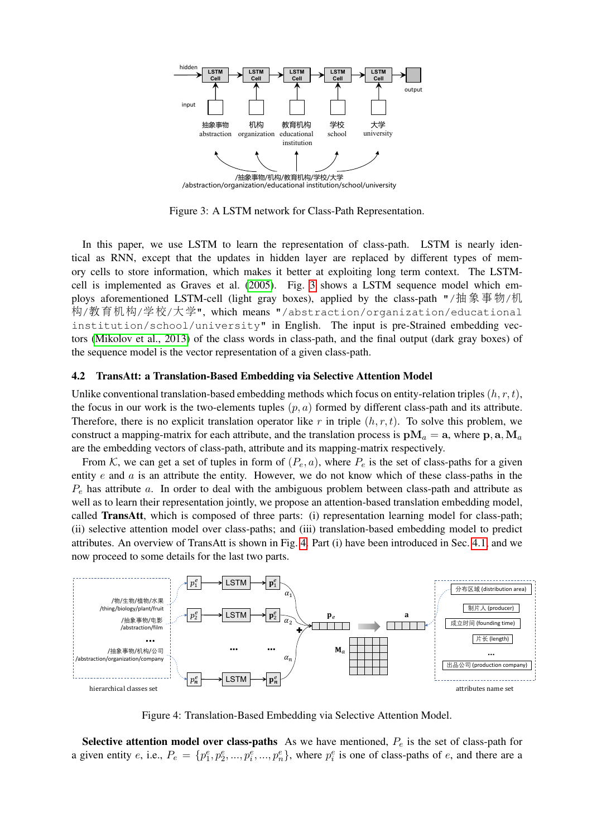

<span id="page-4-0"></span>Figure 3: A LSTM network for Class-Path Representation.

In this paper, we use LSTM to learn the representation of class-path. LSTM is nearly identical as RNN, except that the updates in hidden layer are replaced by different types of memory cells to store information, which makes it better at exploiting long term context. The LSTMcell is implemented as Graves et al. [\(2005\)](#page-9-16). Fig. [3](#page-4-0) shows a LSTM sequence model which employs aforementioned LSTM-cell (light gray boxes), applied by the class-path "/抽象事物/机 <sup>构</sup>/教育机构/学校/大学", which means "/abstraction/organization/educational institution/school/university" in English. The input is pre-Strained embedding vectors [\(Mikolov et al., 2013\)](#page-9-17) of the class words in class-path, and the final output (dark gray boxes) of the sequence model is the vector representation of a given class-path.

#### 4.2 TransAtt: a Translation-Based Embedding via Selective Attention Model

Unlike conventional translation-based embedding methods which focus on entity-relation triples  $(h, r, t)$ , the focus in our work is the two-elements tuples  $(p, a)$  formed by different class-path and its attribute. Therefore, there is no explicit translation operator like r in triple  $(h, r, t)$ . To solve this problem, we construct a mapping-matrix for each attribute, and the translation process is  $\mathbf{p}M_a = \mathbf{a}$ , where  $\mathbf{p}, \mathbf{a}, \mathbf{M}_a$ are the embedding vectors of class-path, attribute and its mapping-matrix respectively.

From K, we can get a set of tuples in form of  $(P_e, a)$ , where  $P_e$  is the set of class-paths for a given entity  $e$  and  $a$  is an attribute the entity. However, we do not know which of these class-paths in the  $P_e$  has attribute a. In order to deal with the ambiguous problem between class-path and attribute as well as to learn their representation jointly, we propose an attention-based translation embedding model, called TransAtt, which is composed of three parts: (i) representation learning model for class-path; (ii) selective attention model over class-paths; and (iii) translation-based embedding model to predict attributes. An overview of TransAtt is shown in Fig. [4.](#page-4-1) Part (i) have been introduced in Sec. [4.1,](#page-3-1) and we now proceed to some details for the last two parts.



<span id="page-4-1"></span>Figure 4: Translation-Based Embedding via Selective Attention Model.

Selective attention model over class-paths As we have mentioned,  $P_e$  is the set of class-path for a given entity e, i.e.,  $P_e = \{p_1^e, p_2^e, ..., p_i^e, ..., p_n^e\}$ , where  $p_i^e$  is one of class-paths of e, and there are a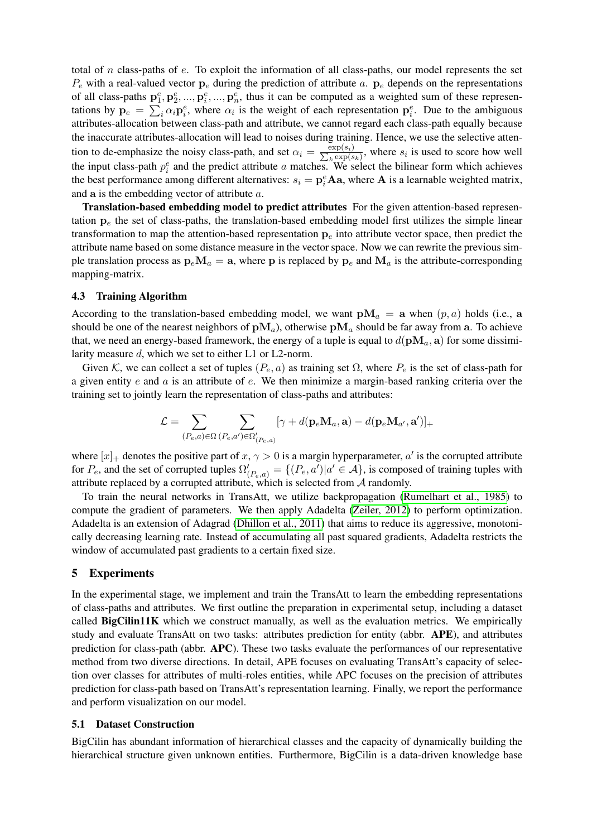total of n class-paths of e. To exploit the information of all class-paths, our model represents the set  $P_e$  with a real-valued vector  $p_e$  during the prediction of attribute a.  $p_e$  depends on the representations of all class-paths  $p_1^e, p_2^e, ..., p_i^e, ..., p_n^e$ , thus it can be computed as a weighted sum of these representations by  $p_e = \sum_i \alpha_i p_i^e$ , where  $\alpha_i$  is the weight of each representation  $p_i^e$ . Due to the ambiguous attributes-allocation between class-path and attribute, we cannot regard each class-path equally because the inaccurate attributes-allocation will lead to noises during training. Hence, we use the selective attention to de-emphasize the noisy class-path, and set  $\alpha_i = \frac{\exp(s_i)}{\sum_k \exp(s_k)}$  $\frac{\exp(s_i)}{k \exp(s_k)}$ , where  $s_i$  is used to score how well the input class-path  $p_i^e$  and the predict attribute a matches. We select the bilinear form which achieves the best performance among different alternatives:  $s_i = \mathbf{p}_i^e \mathbf{A} \mathbf{a}$ , where  $\mathbf{A}$  is a learnable weighted matrix, and a is the embedding vector of attribute a.

Translation-based embedding model to predict attributes For the given attention-based representation  $p_e$  the set of class-paths, the translation-based embedding model first utilizes the simple linear transformation to map the attention-based representation  $p_e$  into attribute vector space, then predict the attribute name based on some distance measure in the vector space. Now we can rewrite the previous simple translation process as  $\mathbf{p}_e \mathbf{M}_a = \mathbf{a}$ , where **p** is replaced by  $\mathbf{p}_e$  and  $\mathbf{M}_a$  is the attribute-corresponding mapping-matrix.

### 4.3 Training Algorithm

According to the translation-based embedding model, we want  $\mathbf{pM}_a = \mathbf{a}$  when  $(p, a)$  holds (i.e.,  $\mathbf{a}$ should be one of the nearest neighbors of  $\mathbf{p}M_a$ ), otherwise  $\mathbf{p}M_a$  should be far away from a. To achieve that, we need an energy-based framework, the energy of a tuple is equal to  $d(\mathbf{p}M_a, \mathbf{a})$  for some dissimilarity measure d, which we set to either L1 or L2-norm.

Given K, we can collect a set of tuples  $(P_e, a)$  as training set  $\Omega$ , where  $P_e$  is the set of class-path for a given entity  $e$  and  $a$  is an attribute of  $e$ . We then minimize a margin-based ranking criteria over the training set to jointly learn the representation of class-paths and attributes:

$$
\mathcal{L} = \sum_{(P_e, a) \in \Omega} \sum_{(P_e, a') \in \Omega'_{(P_e, a)}} [\gamma + d(\mathbf{p}_e \mathbf{M}_a, \mathbf{a}) - d(\mathbf{p}_e \mathbf{M}_{a'}, \mathbf{a'})]_+
$$

where  $[x]_+$  denotes the positive part of  $x, \gamma > 0$  is a margin hyperparameter,  $a'$  is the corrupted attribute for  $P_e$ , and the set of corrupted tuples  $\Omega'_{(P_e,a)} = \{(P_e,a') | a' \in \mathcal{A}\}\$ , is composed of training tuples with attribute replaced by a corrupted attribute, which is selected from  $A$  randomly.

To train the neural networks in TransAtt, we utilize backpropagation [\(Rumelhart et al., 1985\)](#page-9-18) to compute the gradient of parameters. We then apply Adadelta [\(Zeiler, 2012\)](#page-9-19) to perform optimization. Adadelta is an extension of Adagrad [\(Dhillon et al., 2011\)](#page-9-20) that aims to reduce its aggressive, monotonically decreasing learning rate. Instead of accumulating all past squared gradients, Adadelta restricts the window of accumulated past gradients to a certain fixed size.

### 5 Experiments

In the experimental stage, we implement and train the TransAtt to learn the embedding representations of class-paths and attributes. We first outline the preparation in experimental setup, including a dataset called BigCilin11K which we construct manually, as well as the evaluation metrics. We empirically study and evaluate TransAtt on two tasks: attributes prediction for entity (abbr. APE), and attributes prediction for class-path (abbr. APC). These two tasks evaluate the performances of our representative method from two diverse directions. In detail, APE focuses on evaluating TransAtt's capacity of selection over classes for attributes of multi-roles entities, while APC focuses on the precision of attributes prediction for class-path based on TransAtt's representation learning. Finally, we report the performance and perform visualization on our model.

### 5.1 Dataset Construction

BigCilin has abundant information of hierarchical classes and the capacity of dynamically building the hierarchical structure given unknown entities. Furthermore, BigCilin is a data-driven knowledge base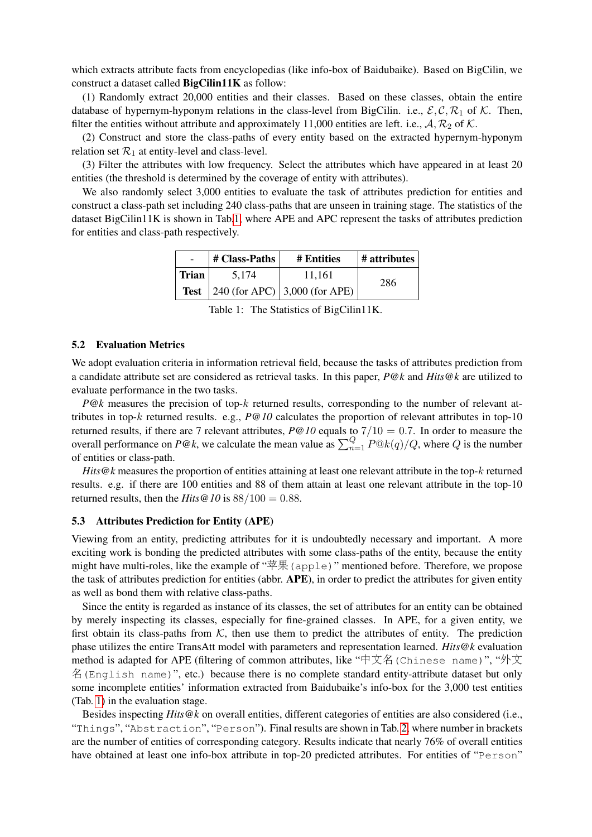which extracts attribute facts from encyclopedias (like info-box of Baidubaike). Based on BigCilin, we construct a dataset called BigCilin11K as follow:

(1) Randomly extract 20,000 entities and their classes. Based on these classes, obtain the entire database of hypernym-hyponym relations in the class-level from BigCilin. i.e.,  $\mathcal{E}, \mathcal{C}, \mathcal{R}_1$  of K. Then, filter the entities without attribute and approximately 11,000 entities are left. i.e.,  $A$ ,  $R_2$  of  $K$ .

(2) Construct and store the class-paths of every entity based on the extracted hypernym-hyponym relation set  $\mathcal{R}_1$  at entity-level and class-level.

(3) Filter the attributes with low frequency. Select the attributes which have appeared in at least 20 entities (the threshold is determined by the coverage of entity with attributes).

We also randomly select 3,000 entities to evaluate the task of attributes prediction for entities and construct a class-path set including 240 class-paths that are unseen in training stage. The statistics of the dataset BigCilin11K is shown in Tab[.1,](#page-6-0) where APE and APC represent the tasks of attributes prediction for entities and class-path respectively.

|       | # Class-Paths | # Entities                                | # attributes |  |
|-------|---------------|-------------------------------------------|--------------|--|
| Trian | 5.174         | 11.161                                    | 286          |  |
|       |               | <b>Test</b> 240 (for APC) 3,000 (for APE) |              |  |

<span id="page-6-0"></span>Table 1: The Statistics of BigCilin11K.

#### 5.2 Evaluation Metrics

We adopt evaluation criteria in information retrieval field, because the tasks of attributes prediction from a candidate attribute set are considered as retrieval tasks. In this paper, *P@k* and *Hits@k* are utilized to evaluate performance in the two tasks.

*P@k* measures the precision of top-k returned results, corresponding to the number of relevant attributes in top-k returned results. e.g., *P@10* calculates the proportion of relevant attributes in top-10 returned results, if there are 7 relevant attributes,  $P@10$  equals to  $7/10 = 0.7$ . In order to measure the overall performance on  $P@k$ , we calculate the mean value as  $\sum_{n=1}^{Q} P@k(q)/Q$ , where Q is the number of entities or class-path.

*Hits@k* measures the proportion of entities attaining at least one relevant attribute in the top-k returned results. e.g. if there are 100 entities and 88 of them attain at least one relevant attribute in the top-10 returned results, then the *Hits*  $\mathcal{Q}$  10 is 88/100 = 0.88.

### 5.3 Attributes Prediction for Entity (APE)

Viewing from an entity, predicting attributes for it is undoubtedly necessary and important. A more exciting work is bonding the predicted attributes with some class-paths of the entity, because the entity might have multi-roles, like the example of "苹果(apple)" mentioned before. Therefore, we propose the task of attributes prediction for entities (abbr. APE), in order to predict the attributes for given entity as well as bond them with relative class-paths.

Since the entity is regarded as instance of its classes, the set of attributes for an entity can be obtained by merely inspecting its classes, especially for fine-grained classes. In APE, for a given entity, we first obtain its class-paths from  $K$ , then use them to predict the attributes of entity. The prediction phase utilizes the entire TransAtt model with parameters and representation learned. *Hits@k* evaluation method is adapted for APE (filtering of common attributes, like "中文名(Chinese name)", "外<sup>文</sup> 名(English name)", etc.) because there is no complete standard entity-attribute dataset but only some incomplete entities' information extracted from Baidubaike's info-box for the 3,000 test entities (Tab. [1\)](#page-6-0) in the evaluation stage.

Besides inspecting *Hits@k* on overall entities, different categories of entities are also considered (i.e., "Things", "Abstraction", "Person"). Final results are shown in Tab. [2,](#page-7-0) where number in brackets are the number of entities of corresponding category. Results indicate that nearly 76% of overall entities have obtained at least one info-box attribute in top-20 predicted attributes. For entities of "Person"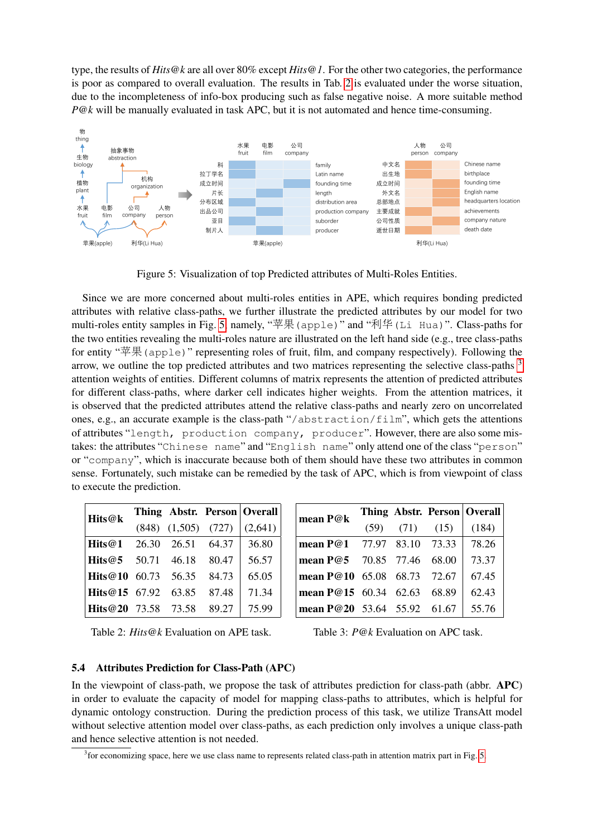type, the results of *Hits@k* are all over 80% except *Hits@1*. For the other two categories, the performance is poor as compared to overall evaluation. The results in Tab. [2](#page-7-0) is evaluated under the worse situation, due to the incompleteness of info-box producing such as false negative noise. A more suitable method *P@k* will be manually evaluated in task APC, but it is not automated and hence time-consuming.



<span id="page-7-1"></span>Figure 5: Visualization of top Predicted attributes of Multi-Roles Entities.

Since we are more concerned about multi-roles entities in APE, which requires bonding predicted attributes with relative class-paths, we further illustrate the predicted attributes by our model for two multi-roles entity samples in Fig. [5,](#page-7-1) namely, "苹果(apple)" and "利华(Li Hua)". Class-paths for the two entities revealing the multi-roles nature are illustrated on the left hand side (e.g., tree class-paths for entity "苹果(apple)" representing roles of fruit, film, and company respectively). Following the arrow, we outline the top predicted attributes and two matrices representing the selective class-paths [3](#page-7-2) attention weights of entities. Different columns of matrix represents the attention of predicted attributes for different class-paths, where darker cell indicates higher weights. From the attention matrices, it is observed that the predicted attributes attend the relative class-paths and nearly zero on uncorrelated ones, e.g., an accurate example is the class-path "/abstraction/film", which gets the attentions of attributes "length, production company, producer". However, there are also some mistakes: the attributes "Chinese name" and "English name" only attend one of the class "person" or "company", which is inaccurate because both of them should have these two attributes in common sense. Fortunately, such mistake can be remedied by the task of APC, which is from viewpoint of class to execute the prediction.

| Hits@k                      |                           |       | Thing Abstr. Person Overall |
|-----------------------------|---------------------------|-------|-----------------------------|
|                             | $(848)$ $(1,505)$ $(727)$ |       | (2,641)                     |
| Hits@1                      | 26.30 26.51               | 64.37 | 36.80                       |
| <b>Hits</b> @5 50.71 46.18  |                           | 80.47 | 56.57                       |
| <b>Hits</b> @10 60.73 56.35 |                           | 84.73 | 65.05                       |
| <b>Hits@15</b> 67.92 63.85  |                           | 87.48 | 71.34                       |
| Hits@20 73.58 73.58         |                           | 89.27 | 75.99                       |

| mean P@k                    |                      | Thing Abstr. Person   Overall |
|-----------------------------|----------------------|-------------------------------|
|                             | $(59)$ $(71)$ $(15)$ | (184)                         |
| mean P@1 77.97 83.10 73.33  |                      | 78.26                         |
| mean P@5 70.85 77.46 68.00  |                      | 73.37                         |
| mean P@10 65.08 68.73 72.67 |                      | 67.45                         |
| mean P@15 60.34 62.63 68.89 |                      | 62.43                         |
| mean P@20 53.64 55.92 61.67 |                      | 55.76                         |

<span id="page-7-0"></span>Table 2: *Hits@k* Evaluation on APE task.

<span id="page-7-3"></span>

|  |  | Table 3: <i>P</i> @k Evaluation on APC task. |  |  |
|--|--|----------------------------------------------|--|--|
|--|--|----------------------------------------------|--|--|

### 5.4 Attributes Prediction for Class-Path (APC)

In the viewpoint of class-path, we propose the task of attributes prediction for class-path (abbr. APC) in order to evaluate the capacity of model for mapping class-paths to attributes, which is helpful for dynamic ontology construction. During the prediction process of this task, we utilize TransAtt model without selective attention model over class-paths, as each prediction only involves a unique class-path and hence selective attention is not needed.

<span id="page-7-2"></span><sup>&</sup>lt;sup>3</sup> for economizing space, here we use class name to represents related class-path in attention matrix part in Fig. [5.](#page-7-1)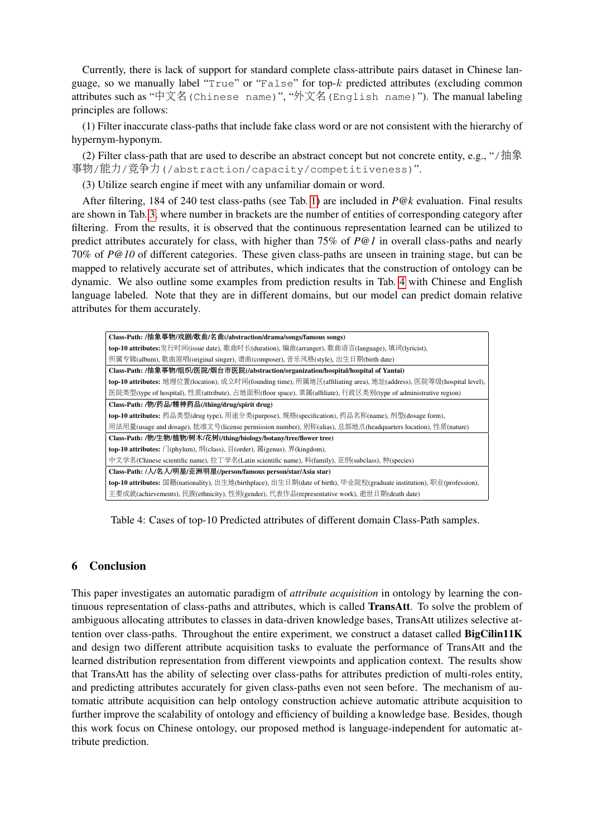Currently, there is lack of support for standard complete class-attribute pairs dataset in Chinese language, so we manually label "True" or "False" for top- $k$  predicted attributes (excluding common attributes such as "中文名(Chinese name)", "外文名(English name)"). The manual labeling principles are follows:

(1) Filter inaccurate class-paths that include fake class word or are not consistent with the hierarchy of hypernym-hyponym.

(2) Filter class-path that are used to describe an abstract concept but not concrete entity, e.g., "/抽象 <sup>事</sup>物/能力/竞争力(/abstraction/capacity/competitiveness)".

(3) Utilize search engine if meet with any unfamiliar domain or word.

After filtering, 184 of 240 test class-paths (see Tab. [1\)](#page-6-0) are included in *P@k* evaluation. Final results are shown in Tab. [3,](#page-7-3) where number in brackets are the number of entities of corresponding category after filtering. From the results, it is observed that the continuous representation learned can be utilized to predict attributes accurately for class, with higher than 75% of *P@1* in overall class-paths and nearly 70% of *P@10* of different categories. These given class-paths are unseen in training stage, but can be mapped to relatively accurate set of attributes, which indicates that the construction of ontology can be dynamic. We also outline some examples from prediction results in Tab. [4](#page-8-0) with Chinese and English language labeled. Note that they are in different domains, but our model can predict domain relative attributes for them accurately.

| Class-Path: /抽象事物/戏剧/歌曲/名曲(/abstraction/drama/songs/famous songs)                                                     |  |  |
|-----------------------------------------------------------------------------------------------------------------------|--|--|
|                                                                                                                       |  |  |
| top-10 attributes:发行时间(issue date), 歌曲时长(duration), 编曲(arranger), 歌曲语言(language), 填词(lyricist),                       |  |  |
| 所属专辑(album), 歌曲原唱(original singer), 谱曲(composer), 音乐风格(style), 出生日期(birth date)                                       |  |  |
| Class-Path: /抽象事物/组织/医院/烟台市医院(/abstraction/organization/hospital/hospital of Yantai)                                  |  |  |
| top-10 attributes: 地理位置(location), 成立时间(founding time), 所属地区(affiliating area), 地址(address), 医院等级(hospital level),    |  |  |
| 医院类型(type of hospital), 性质(attribute), 占地面积(floor space), 隶属(affiliate), 行政区类别(type of administrative region)         |  |  |
| Class-Path: /物/药品/精神药品(/thing/drug/spirit drug)                                                                       |  |  |
| top-10 attributes: 药品类型(drug type), 用途分类(purpose), 规格(specification), 药品名称(name), 剂型(dosage form),                    |  |  |
| 用法用量(usage and dosage), 批准文号(license permission number), 别称(alias), 总部地点(headquarters location), 性质(nature)           |  |  |
| Class-Path: /物/生物/植物/树木/花树(/thing/biology/botany/tree/flower tree)                                                    |  |  |
| top-10 attributes: 门(phylum), 纲(class), 目(order), 属(genus), 界(kingdom),                                               |  |  |
| 中文学名(Chinese scientific name), 拉丁学名(Latin scientific name), 科(family), 亚纲(subclass), 种(species)                       |  |  |
| Class-Path: /人/名人/明星/亚洲明星(/person/famous person/star/Asia star)                                                       |  |  |
| top-10 attributes: 国籍(nationality), 出生地(birthplace), 出生日期(date of birth), 毕业院校(graduate institution), 职业(profession), |  |  |
| 主要成就(achievements), 民族(ethnicity), 性别(gender), 代表作品(representative work), 逝世日期(death date)                            |  |  |

<span id="page-8-0"></span>Table 4: Cases of top-10 Predicted attributes of different domain Class-Path samples.

## 6 Conclusion

This paper investigates an automatic paradigm of *attribute acquisition* in ontology by learning the continuous representation of class-paths and attributes, which is called TransAtt. To solve the problem of ambiguous allocating attributes to classes in data-driven knowledge bases, TransAtt utilizes selective attention over class-paths. Throughout the entire experiment, we construct a dataset called BigCilin11K and design two different attribute acquisition tasks to evaluate the performance of TransAtt and the learned distribution representation from different viewpoints and application context. The results show that TransAtt has the ability of selecting over class-paths for attributes prediction of multi-roles entity, and predicting attributes accurately for given class-paths even not seen before. The mechanism of automatic attribute acquisition can help ontology construction achieve automatic attribute acquisition to further improve the scalability of ontology and efficiency of building a knowledge base. Besides, though this work focus on Chinese ontology, our proposed method is language-independent for automatic attribute prediction.